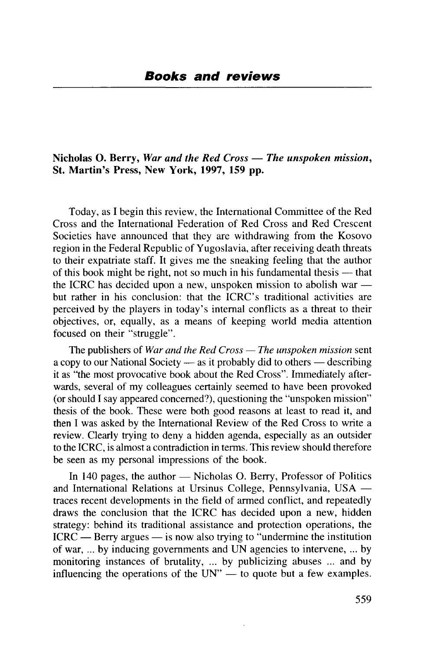## **Nicholas O. Berry,** *War and the Red Cross* — *The unspoken mission,* **St. Martin's Press, New York, 1997, 159 pp.**

Today, as I begin this review, the International Committee of the Red Cross and the International Federation of Red Cross and Red Crescent Societies have announced that they are withdrawing from the Kosovo region in the Federal Republic of Yugoslavia, after receiving death threats to their expatriate staff. It gives me the sneaking feeling that the author of this book might be right, not so much in his fundamental thesis — that the ICRC has decided upon a new, unspoken mission to abolish war but rather in his conclusion: that the ICRC's traditional activities are perceived by the players in today's internal conflicts as a threat to their objectives, or, equally, as a means of keeping world media attention focused on their "struggle".

The publishers of *War and the Red Cross* — *The unspoken mission* sent a copy to our National Society — as it probably did to others — describing it as "the most provocative book about the Red Cross". Immediately afterwards, several of my colleagues certainly seemed to have been provoked (or should I say appeared concerned?), questioning the "unspoken mission" thesis of the book. These were both good reasons at least to read it, and then I was asked by the International Review of the Red Cross to write a review. Clearly trying to deny a hidden agenda, especially as an outsider to the ICRC, is almost a contradiction in terms. This review should therefore be seen as my personal impressions of the book.

In 140 pages, the author — Nicholas O. Berry, Professor of Politics and International Relations at Ursinus College, Pennsylvania, USA traces recent developments in the field of armed conflict, and repeatedly draws the conclusion that the ICRC has decided upon a new, hidden strategy: behind its traditional assistance and protection operations, the ICRC — Berry argues — is now also trying to "undermine the institution of war, ... by inducing governments and UN agencies to intervene, ... by monitoring instances of brutality, ... by publicizing abuses ... and by influencing the operations of the UN" — to quote but a few examples.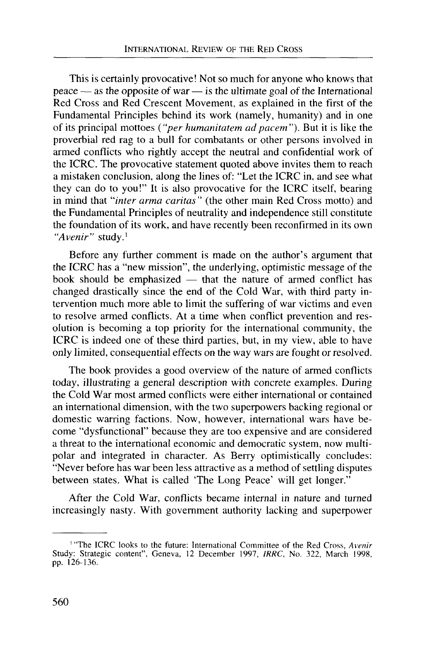This is certainly provocative! Not so much for anyone who knows that peace — as the opposite of war — is the ultimate goal of the International Red Cross and Red Crescent Movement, as explained in the first of the Fundamental Principles behind its work (namely, humanity) and in one of its principal mottoes *{"per humanitatem adpacem").* But it is like the proverbial red rag to a bull for combatants or other persons involved in armed conflicts who rightly accept the neutral and confidential work of the ICRC. The provocative statement quoted above invites them to reach a mistaken conclusion, along the lines of: "Let the ICRC in, and see what they can do to you!" It is also provocative for the ICRC itself, bearing in mind that *"inter arma caritas"* (the other main Red Cross motto) and the Fundamental Principles of neutrality and independence still constitute the foundation of its work, and have recently been reconfirmed in its own *"Avenir"* study.'

Before any further comment is made on the author's argument that the ICRC has a "new mission", the underlying, optimistic message of the book should be emphasized — that the nature of armed conflict has changed drastically since the end of the Cold War, with third party intervention much more able to limit the suffering of war victims and even to resolve armed conflicts. At a time when conflict prevention and resolution is becoming a top priority for the international community, the ICRC is indeed one of these third parties, but, in my view, able to have only limited, consequential effects on the way wars are fought or resolved.

The book provides a good overview of the nature of armed conflicts today, illustrating a general description with concrete examples. During the Cold War most armed conflicts were either international or contained an international dimension, with the two superpowers backing regional or domestic warring factions. Now, however, international wars have become "dysfunctional" because they are too expensive and are considered a threat to the international economic and democratic system, now multipolar and integrated in character. As Berry optimistically concludes: "Never before has war been less attractive as a method of settling disputes between states. What is called 'The Long Peace' will get longer."

After the Cold War, conflicts became internal in nature and turned increasingly nasty. With government authority lacking and superpower

<sup>1</sup> "The ICRC looks to the future: International Committee of the Red Cross, *Avenir* Study: Strategic content", Geneva, 12 December 1997, *1RRC,* No. 322, March 1998, pp. 126-136.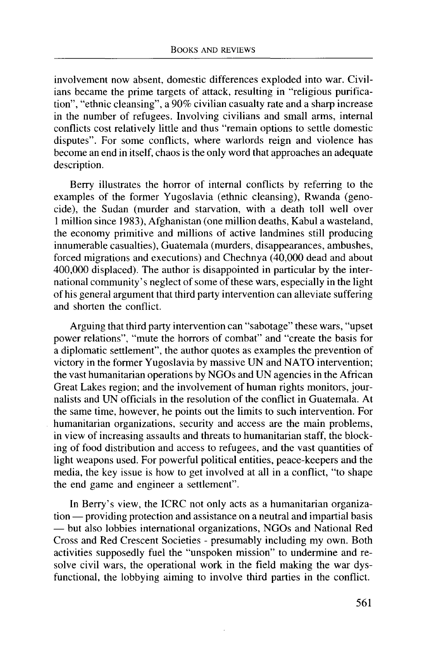involvement now absent, domestic differences exploded into war. Civilians became the prime targets of attack, resulting in "religious purification", "ethnic cleansing", a 90% civilian casualty rate and a sharp increase in the number of refugees. Involving civilians and small arms, internal conflicts cost relatively little and thus "remain options to settle domestic disputes". For some conflicts, where warlords reign and violence has become an end in itself, chaos is the only word that approaches an adequate description.

Berry illustrates the horror of internal conflicts by referring to the examples of the former Yugoslavia (ethnic cleansing), Rwanda (genocide), the Sudan (murder and starvation, with a death toll well over 1 million since 1983), Afghanistan (one million deaths, Kabul a wasteland, the economy primitive and millions of active landmines still producing innumerable casualties), Guatemala (murders, disappearances, ambushes, forced migrations and executions) and Chechnya (40,000 dead and about 400,000 displaced). The author is disappointed in particular by the international community's neglect of some of these wars, especially in the light of his general argument that third party intervention can alleviate suffering and shorten the conflict.

Arguing that third party intervention can "sabotage" these wars, "upset power relations", "mute the horrors of combat" and "create the basis for a diplomatic settlement", the author quotes as examples the prevention of victory in the former Yugoslavia by massive UN and NATO intervention; the vast humanitarian operations by NGOs and UN agencies in the African Great Lakes region; and the involvement of human rights monitors, journalists and UN officials in the resolution of the conflict in Guatemala. At the same time, however, he points out the limits to such intervention. For humanitarian organizations, security and access are the main problems, in view of increasing assaults and threats to humanitarian staff, the blocking of food distribution and access to refugees, and the vast quantities of light weapons used. For powerful political entities, peace-keepers and the media, the key issue is how to get involved at all in a conflict, "to shape the end game and engineer a settlement".

In Berry's view, the ICRC not only acts as a humanitarian organization — providing protection and assistance on a neutral and impartial basis — but also lobbies international organizations, NGOs and National Red Cross and Red Crescent Societies - presumably including my own. Both activities supposedly fuel the "unspoken mission" to undermine and resolve civil wars, the operational work in the field making the war dysfunctional, the lobbying aiming to involve third parties in the conflict.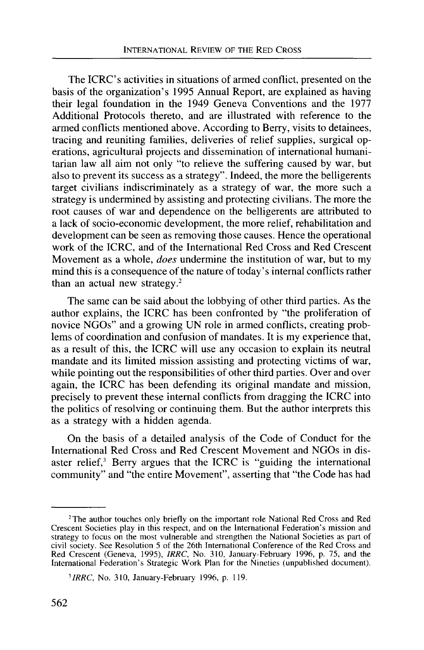The ICRC's activities in situations of armed conflict, presented on the basis of the organization's 1995 Annual Report, are explained as having their legal foundation in the 1949 Geneva Conventions and the 1977 Additional Protocols thereto, and are illustrated with reference to the armed conflicts mentioned above. According to Berry, visits to detainees, tracing and reuniting families, deliveries of relief supplies, surgical operations, agricultural projects and dissemination of international humanitarian law all aim not only "to relieve the suffering caused by war, but also to prevent its success as a strategy". Indeed, the more the belligerents target civilians indiscriminately as a strategy of war, the more such a strategy is undermined by assisting and protecting civilians. The more the root causes of war and dependence on the belligerents are attributed to a lack of socio-economic development, the more relief, rehabilitation and development can be seen as removing those causes. Hence the operational work of the ICRC, and of the International Red Cross and Red Crescent Movement as a whole, *does* undermine the institution of war, but to my mind this is a consequence of the nature of today's internal conflicts rather than an actual new strategy.<sup>2</sup>

The same can be said about the lobbying of other third parties. As the author explains, the ICRC has been confronted by "the proliferation of novice NGOs" and a growing UN role in armed conflicts, creating problems of coordination and confusion of mandates. It is my experience that, as a result of this, the ICRC will use any occasion to explain its neutral mandate and its limited mission assisting and protecting victims of war, while pointing out the responsibilities of other third parties. Over and over again, the ICRC has been defending its original mandate and mission, precisely to prevent these internal conflicts from dragging the ICRC into the politics of resolving or continuing them. But the author interprets this as a strategy with a hidden agenda.

On the basis of a detailed analysis of the Code of Conduct for the International Red Cross and Red Crescent Movement and NGOs in disaster relief,<sup>3</sup> Berry argues that the ICRC is "guiding the international community" and "the entire Movement", asserting that "the Code has had

<sup>&</sup>lt;sup>2</sup>The author touches only briefly on the important role National Red Cross and Red Crescent Societies play in this respect, and on the International Federation's mission and strategy to focus on the most vulnerable and strengthen the National Societies as part of civil society. See Resolution 5 of the 26th International Conference of the Red Cross and Red Crescent (Geneva, 1995), *IRRC*, No. 310, January-February 1996, p. 75, and the International Federation's Strategic Work Plan for the Nineties (unpublished document).

*<sup>&#</sup>x27;IRRC,* No. 310, January-February 1996, p. 119.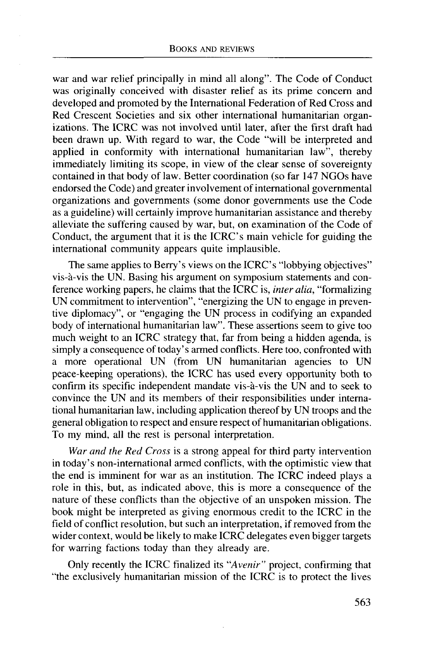war and war relief principally in mind all along". The Code of Conduct was originally conceived with disaster relief as its prime concern and developed and promoted by the International Federation of Red Cross and Red Crescent Societies and six other international humanitarian organizations. The ICRC was not involved until later, after the first draft had been drawn up. With regard to war, the Code "will be interpreted and applied in conformity with international humanitarian law", thereby immediately limiting its scope, in view of the clear sense of sovereignty contained in that body of law. Better coordination (so far 147 NGOs have endorsed the Code) and greater involvement of international governmental organizations and governments (some donor governments use the Code as a guideline) will certainly improve humanitarian assistance and thereby alleviate the suffering caused by war, but, on examination of the Code of Conduct, the argument that it is the ICRC's main vehicle for guiding the international community appears quite implausible.

The same applies to Berry's views on the ICRC's "lobbying objectives" vis-a-vis the UN. Basing his argument on symposium statements and conference working papers, he claims that the ICRC is, *inter alia,* "formalizing UN commitment to intervention", "energizing the UN to engage in preventive diplomacy", or "engaging the UN process in codifying an expanded body of international humanitarian law". These assertions seem to give too much weight to an ICRC strategy that, far from being a hidden agenda, is simply a consequence of today's armed conflicts. Here too, confronted with a more operational UN (from UN humanitarian agencies to UN peace-keeping operations), the ICRC has used every opportunity both to confirm its specific independent mandate vis-a-vis the UN and to seek to convince the UN and its members of their responsibilities under international humanitarian law, including application thereof by UN troops and the general obligation to respect and ensure respect of humanitarian obligations. To my mind, all the rest is personal interpretation.

*War and the Red Cross* is a strong appeal for third party intervention in today's non-international armed conflicts, with the optimistic view that the end is imminent for war as an institution. The ICRC indeed plays a role in this, but, as indicated above, this is more a consequence of the nature of these conflicts than the objective of an unspoken mission. The book might be interpreted as giving enormous credit to the ICRC in the field of conflict resolution, but such an interpretation, if removed from the wider context, would be likely to make ICRC delegates even bigger targets for warring factions today than they already are.

Only recently the ICRC finalized its *"Avenir"* project, confirming that "the exclusively humanitarian mission of the ICRC is to protect the lives